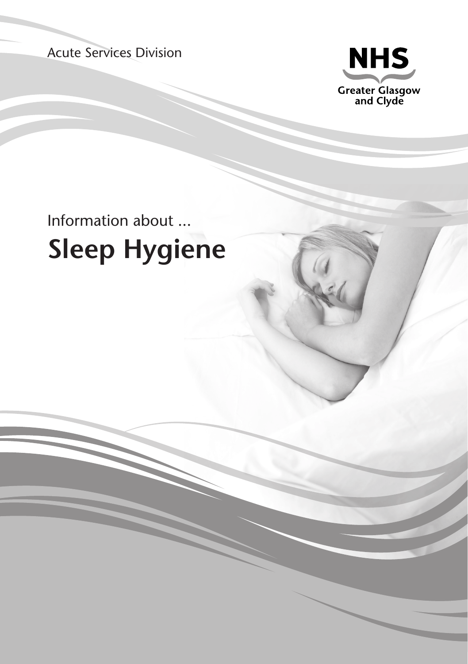Acute Services Division



# Information about ... **Sleep Hygiene**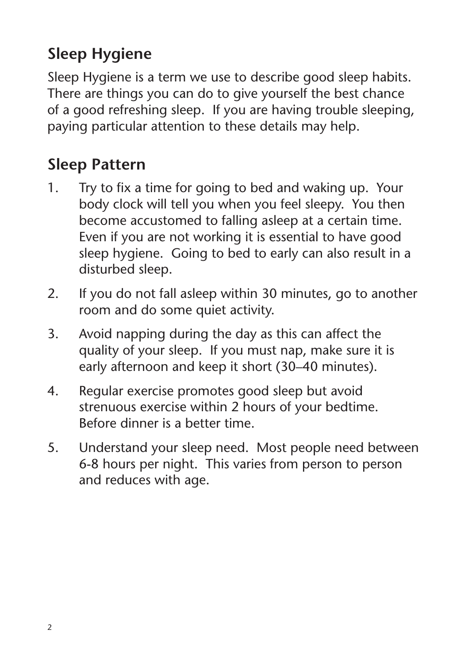# **Sleep Hygiene**

Sleep Hygiene is a term we use to describe good sleep habits. There are things you can do to give yourself the best chance of a good refreshing sleep. If you are having trouble sleeping, paying particular attention to these details may help.

### **Sleep Pattern**

- 1. Try to fix a time for going to bed and waking up. Your body clock will tell you when you feel sleepy. You then become accustomed to falling asleep at a certain time. Even if you are not working it is essential to have good sleep hygiene. Going to bed to early can also result in a disturbed sleep.
- 2. If you do not fall asleep within 30 minutes, go to another room and do some quiet activity.
- 3. Avoid napping during the day as this can affect the quality of your sleep. If you must nap, make sure it is early afternoon and keep it short (30–40 minutes).
- 4. Regular exercise promotes good sleep but avoid strenuous exercise within 2 hours of your bedtime. Before dinner is a better time.
- 5. Understand your sleep need. Most people need between 6-8 hours per night. This varies from person to person and reduces with age.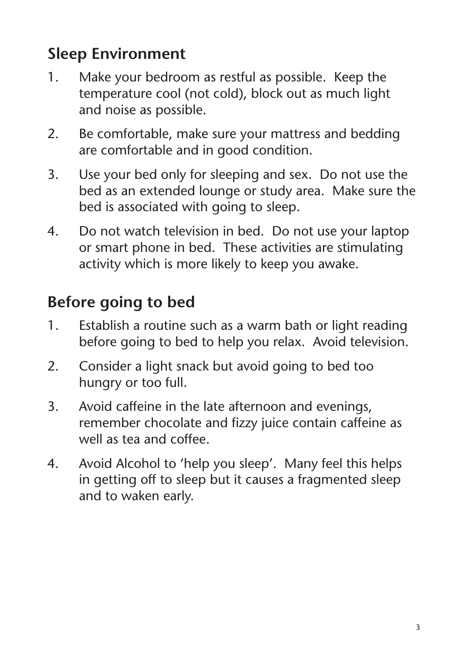# **Sleep Environment**

- 1. Make your bedroom as restful as possible. Keep the temperature cool (not cold), block out as much light and noise as possible.
- 2. Be comfortable, make sure your mattress and bedding are comfortable and in good condition.
- 3. Use your bed only for sleeping and sex. Do not use the bed as an extended lounge or study area. Make sure the bed is associated with going to sleep.
- 4. Do not watch television in bed. Do not use your laptop or smart phone in bed. These activities are stimulating activity which is more likely to keep you awake.

# **Before going to bed**

- 1. Establish a routine such as a warm bath or light reading before going to bed to help you relax. Avoid television.
- 2. Consider a light snack but avoid going to bed too hungry or too full.
- 3. Avoid caffeine in the late afternoon and evenings, remember chocolate and fizzy juice contain caffeine as well as tea and coffee.
- 4. Avoid Alcohol to 'help you sleep'. Many feel this helps in getting off to sleep but it causes a fragmented sleep and to waken early.